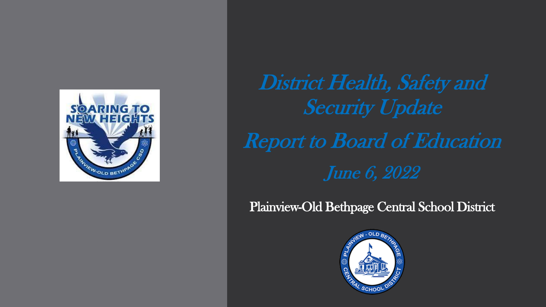

# District Health, Safety and Security Update Report to Board of Education June 6, 2022

Plainview-Old Bethpage Central School District

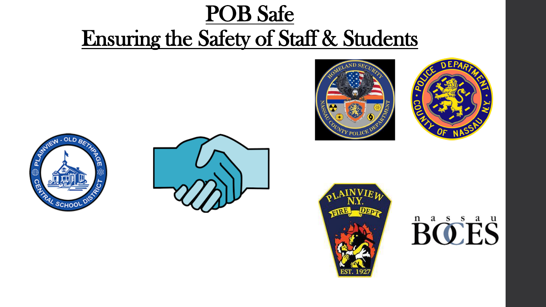# POB Safe Ensuring the Safety of Staff & Students











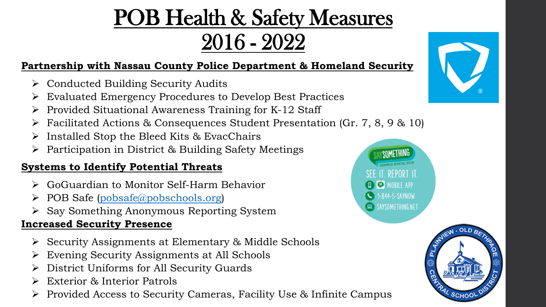# POB Health & Safety Measures 2016 - 2022

### **Partnership with Nassau County Police Department & Homeland Security**

- ➢ Conducted Building Security Audits
- ➢ Evaluated Emergency Procedures to Develop Best Practices
- ➢ Provided Situational Awareness Training for K-12 Staff
- Facilitated Actions & Consequences Student Presentation (Gr. 7, 8, 9 & 10)
- ➢ Installed Stop the Bleed Kits & EvacChairs
- ➢ Participation in District & Building Safety Meetings

### **Systems to Identify Potential Threats**

- ➢ GoGuardian to Monitor Self-Harm Behavior
- $\triangleright$  POB Safe [\(pobsafe@pobschools.org](mailto:pobsafe@pobschools.org))
- ➢ Say Something Anonymous Reporting System

### **Increased Security Presence**

- ➢ Security Assignments at Elementary & Middle Schools
- ➢ Evening Security Assignments at All Schools
- ➢ District Uniforms for All Security Guards
- ➢ Exterior & Interior Patrols
- ➢ Provided Access to Security Cameras, Facility Use & Infinite Campus



SCHOO

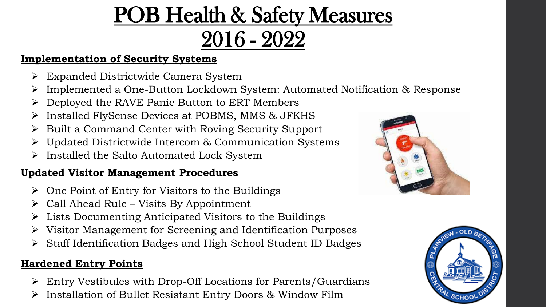# POB Health & Safety Measures 2016 - 2022

### **Implementation of Security Systems**

- ➢ Expanded Districtwide Camera System
- ➢ Implemented a One-Button Lockdown System: Automated Notification & Response
- ➢ Deployed the RAVE Panic Button to ERT Members
- Installed FlySense Devices at POBMS, MMS & JFKHS
- ➢ Built a Command Center with Roving Security Support
- ➢ Updated Districtwide Intercom & Communication Systems
- ➢ Installed the Salto Automated Lock System

### **Updated Visitor Management Procedures**

- $\triangleright$  One Point of Entry for Visitors to the Buildings
- $\triangleright$  Call Ahead Rule Visits By Appointment
- ➢ Lists Documenting Anticipated Visitors to the Buildings
- ➢ Visitor Management for Screening and Identification Purposes
- ➢ Staff Identification Badges and High School Student ID Badges

### **Hardened Entry Points**

- ➢ Entry Vestibules with Drop-Off Locations for Parents/Guardians
- ➢ Installation of Bullet Resistant Entry Doors & Window Film



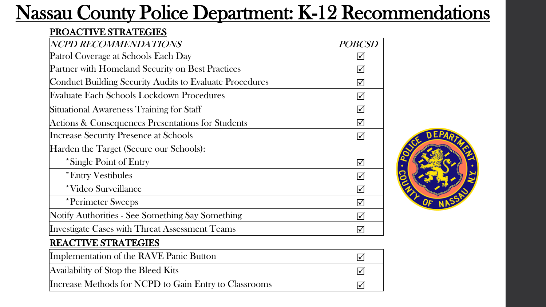## Nassau County Police Department: K-12 Recommendations

#### PROACTIVE STRATEGIES

| NCPD RECOMMENDATIONS                                    | <b>POBCSD</b>           |
|---------------------------------------------------------|-------------------------|
| Patrol Coverage at Schools Each Day                     | $ \mathcal{p} $         |
| Partner with Homeland Security on Best Practices        | $\sqrt{}$               |
| Conduct Building Security Audits to Evaluate Procedures | $\triangledown$         |
| Evaluate Each Schools Lockdown Procedures               | $\triangledown$         |
| Situational Awareness Training for Staff                | $\triangledown$         |
| Actions & Consequences Presentations for Students       | $\triangledown$         |
| Increase Security Presence at Schools                   | $\triangledown$         |
| Harden the Target (Secure our Schools):                 |                         |
| *Single Point of Entry                                  | $\triangledown$         |
| <i>*</i> Entry Vestibules                               | $\triangledown$         |
| *Video Surveillance                                     | $\triangledown$         |
| *Perimeter Sweeps                                       | $\triangledown$         |
| Notify Authorities - See Something Say Something        | $\overline{\mathsf{M}}$ |
| Investigate Cases with Threat Assessment Teams          |                         |

#### REACTIVE STRATEGIES

| Implementation of the RAVE Panic Button               |  |
|-------------------------------------------------------|--|
| Availability of Stop the Bleed Kits                   |  |
| Increase Methods for NCPD to Gain Entry to Classrooms |  |

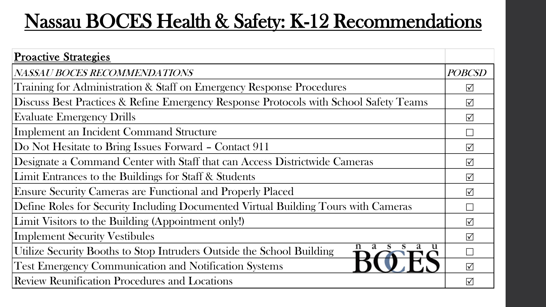## Nassau BOCES Health & Safety: K-12 Recommendations

| <b>Proactive Strategies</b>                                                           |                   |
|---------------------------------------------------------------------------------------|-------------------|
| NASSAU BOCES RECOMMENDATIONS                                                          | <i>POBCSD</i>     |
| Training for Administration & Staff on Emergency Response Procedures                  | $\triangledown$   |
| Discuss Best Practices & Refine Emergency Response Protocols with School Safety Teams | $\sqrt{}$         |
| <b>Evaluate Emergency Drills</b>                                                      | $\triangledown$   |
| Implement an Incident Command Structure                                               |                   |
| Do Not Hesitate to Bring Issues Forward – Contact 911                                 | $\triangledown$   |
| Designate a Command Center with Staff that can Access Districtwide Cameras            | $\sqrt{ }$        |
| Limit Entrances to the Buildings for Staff & Students                                 | $\sqrt{ }$        |
| <b>Ensure Security Cameras are Functional and Properly Placed</b>                     | $\overline{\vee}$ |
| Define Roles for Security Including Documented Virtual Building Tours with Cameras    |                   |
| Limit Visitors to the Building (Appointment only!)                                    | $\sqrt{}$         |
| <b>Implement Security Vestibules</b>                                                  | $\triangledown$   |
| u<br>Utilize Security Booths to Stop Intruders Outside the School Building            |                   |
| <b>Test Emergency Communication and Notification Systems</b>                          | $\sqrt{}$         |
| <b>Review Reunification Procedures and Locations</b>                                  | $\sqrt{}$         |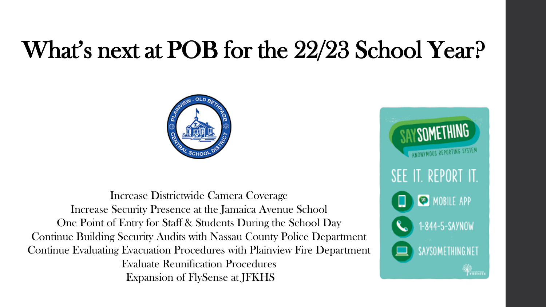# What's next at POB for the 22/23 School Year?



Increase Districtwide Camera Coverage Increase Security Presence at the Jamaica Avenue School One Point of Entry for Staff & Students During the School Day Continue Building Security Audits with Nassau County Police Department Continue Evaluating Evacuation Procedures with Plainview Fire Department Evaluate Reunification Procedures Expansion of FlySense at JFKHS